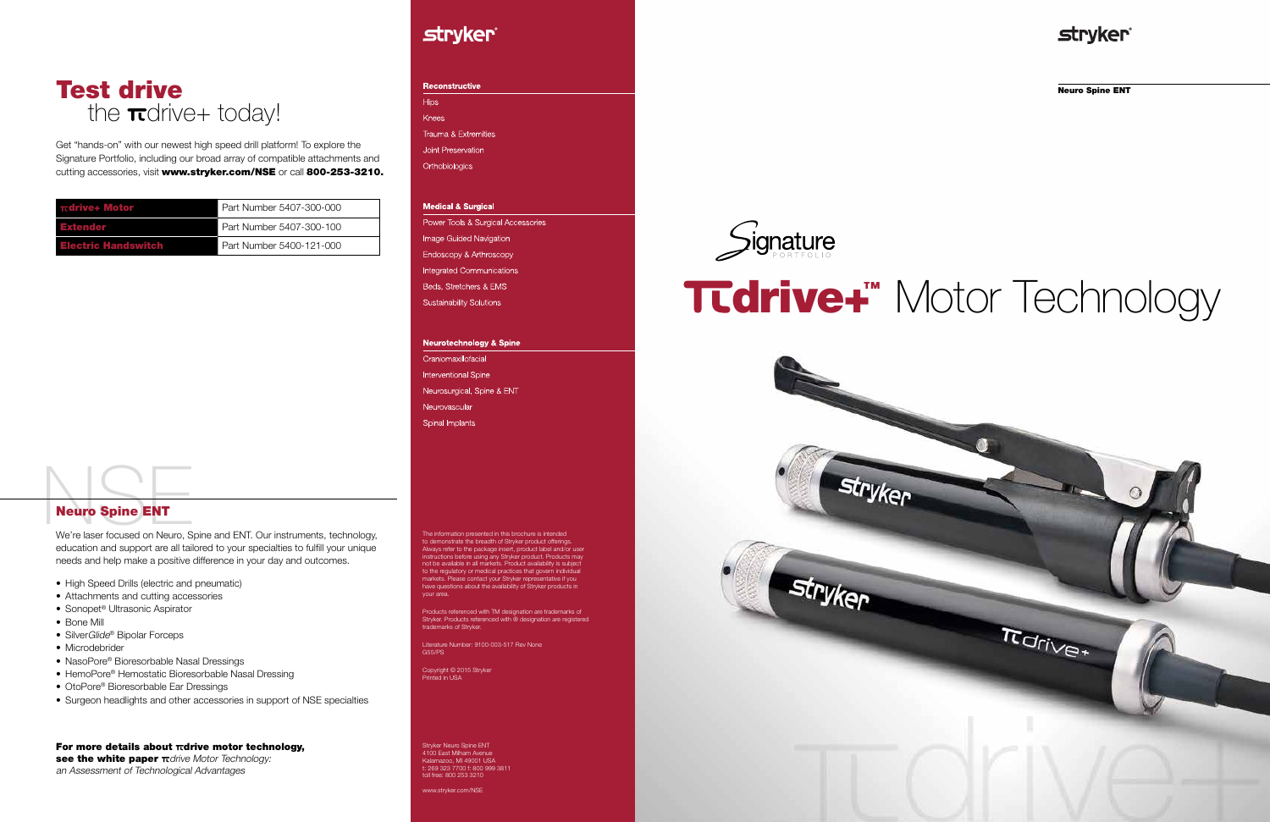Neuro Spine ENT



Get "hands-on" with our newest high speed drill platform! To explore the Signature Portfolio, including our broad array of compatible attachments and cutting accessories, visit www.stryker.com/NSE or call 800-253-3210.

## the  $\pi$ drive+ today! Test drive

Neuro Spine ENT<br>We're laser focused on Neuro, Spine and ENT. Our instruments, technology, education and support are all tailored to your specialties to fulfill your unique needs and help make a positive difference in your day and outcomes.

## Neuro Spine ENT

#### For more details about  $\pi$ drive motor technology, see the white paper  $\pi$ drive Motor Technology: an Assessment of Technological Advantages

**stryker** 

Reconstructive **Hips** Knees Trauma & Extremities Joint Preservation Orthobiologics

## **Medical & Surgical**

Power Tools & Surgical Accessories **Image Guided Navigation** Endoscopy & Arthroscopy **Integrated Communications** Beds, Stretchers & EMS **Sustainability Solutions** 

#### **Neurotechnology & Spine**

Craniomaxillofacial **Interventional Spine** Neurosurgical, Spine & ENT Neurovascular **Spinal Implants** 

- High Speed Drills (electric and pneumatic)
- Attachments and cutting accessories
- Sonopet® Ultrasonic Aspirator
- Bone Mill
- SilverGlide<sup>®</sup> Bipolar Forceps
- Microdebrider
- NasoPore® Bioresorbable Nasal Dressings
- HemoPore<sup>®</sup> Hemostatic Bioresorbable Nasal Dressing
- OtoPore<sup>®</sup> Bioresorbable Ear Dressings
- Surgeon headlights and other accessories in support of NSE specialties

| <b>Trdrive+ Motor</b>      | Part Number 5407-300-000 |
|----------------------------|--------------------------|
| <b>Extender</b>            | Part Number 5407-300-100 |
| <b>Electric Handswitch</b> | Part Number 5400-121-000 |

The information presented in this brochure is intended to demonstrate the breadth of Stryker product offerings. Always refer to the package insert, product label and/or user instructions before using any Stryker product. Products may not be available in all markets. Product availability is subject to the regulatory or medical practices that govern individual markets. Please contact your Stryker representative if you have questions about the availability of Stryker products in your area.

Products referenced with TM designation are trademarks of Stryker. Products referenced with ® designation are registered trademarks of Stryker.

Literature Number: 9100-003-517 Rev None G55/PS

Copyright © 2015 Stryker Printed in USA

Stryker Neuro Spine ENT 4100 East Milham Avenue Kalamazoo, MI 49001 USA t: 269 323 7700 f: 800 999 3811 toll free: 800 253 3210

www.stryker.com/NSE



# drive+™ Motor Technology





## **stryker**